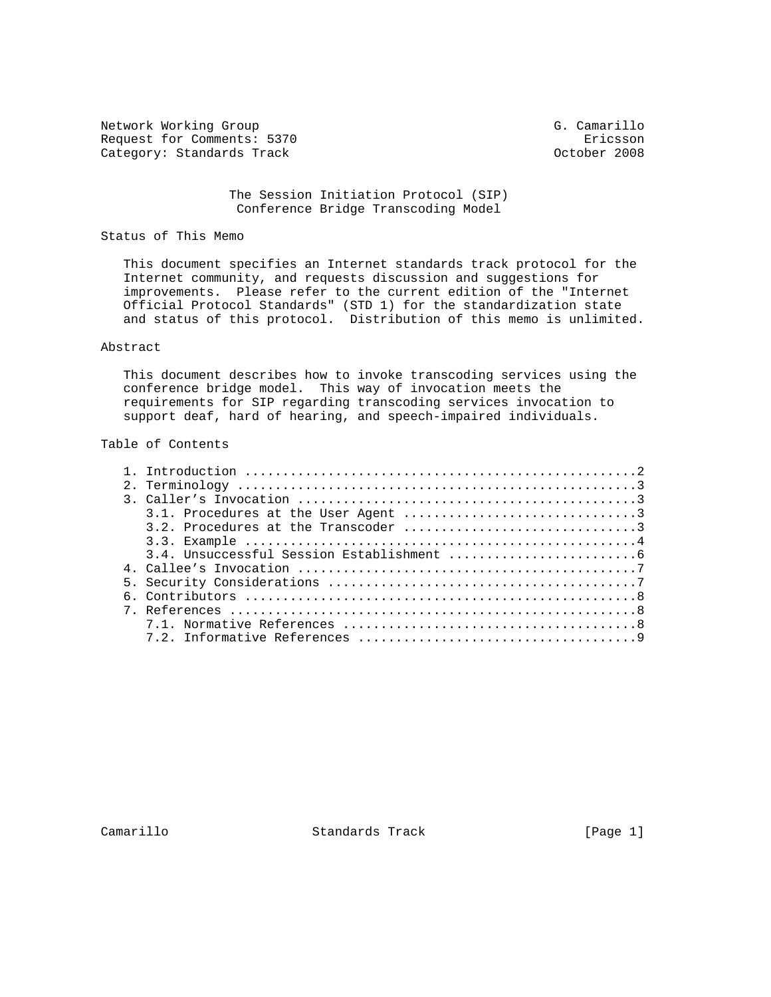Network Working Group G. Camarillo Request for Comments: 5370 Ericsson<br>
Category: Standards Track and Category: Standards Track Category: Standards Track

 The Session Initiation Protocol (SIP) Conference Bridge Transcoding Model

# Status of This Memo

 This document specifies an Internet standards track protocol for the Internet community, and requests discussion and suggestions for improvements. Please refer to the current edition of the "Internet Official Protocol Standards" (STD 1) for the standardization state and status of this protocol. Distribution of this memo is unlimited.

## Abstract

 This document describes how to invoke transcoding services using the conference bridge model. This way of invocation meets the requirements for SIP regarding transcoding services invocation to support deaf, hard of hearing, and speech-impaired individuals.

## Table of Contents

Camarillo Standards Track [Page 1]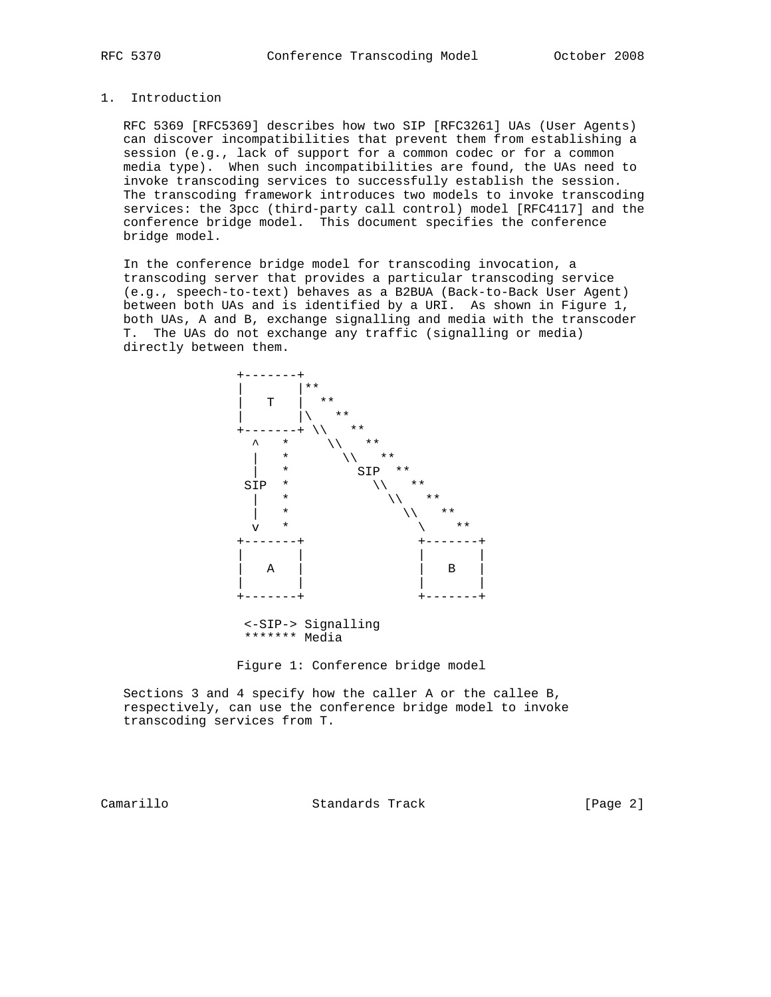### 1. Introduction

 RFC 5369 [RFC5369] describes how two SIP [RFC3261] UAs (User Agents) can discover incompatibilities that prevent them from establishing a session (e.g., lack of support for a common codec or for a common media type). When such incompatibilities are found, the UAs need to invoke transcoding services to successfully establish the session. The transcoding framework introduces two models to invoke transcoding services: the 3pcc (third-party call control) model [RFC4117] and the conference bridge model. This document specifies the conference bridge model.

 In the conference bridge model for transcoding invocation, a transcoding server that provides a particular transcoding service (e.g., speech-to-text) behaves as a B2BUA (Back-to-Back User Agent) between both UAs and is identified by a URI. As shown in Figure 1, both UAs, A and B, exchange signalling and media with the transcoder T. The UAs do not exchange any traffic (signalling or media) directly between them.



Figure 1: Conference bridge model

 Sections 3 and 4 specify how the caller A or the callee B, respectively, can use the conference bridge model to invoke transcoding services from T.

Camarillo Standards Track [Page 2]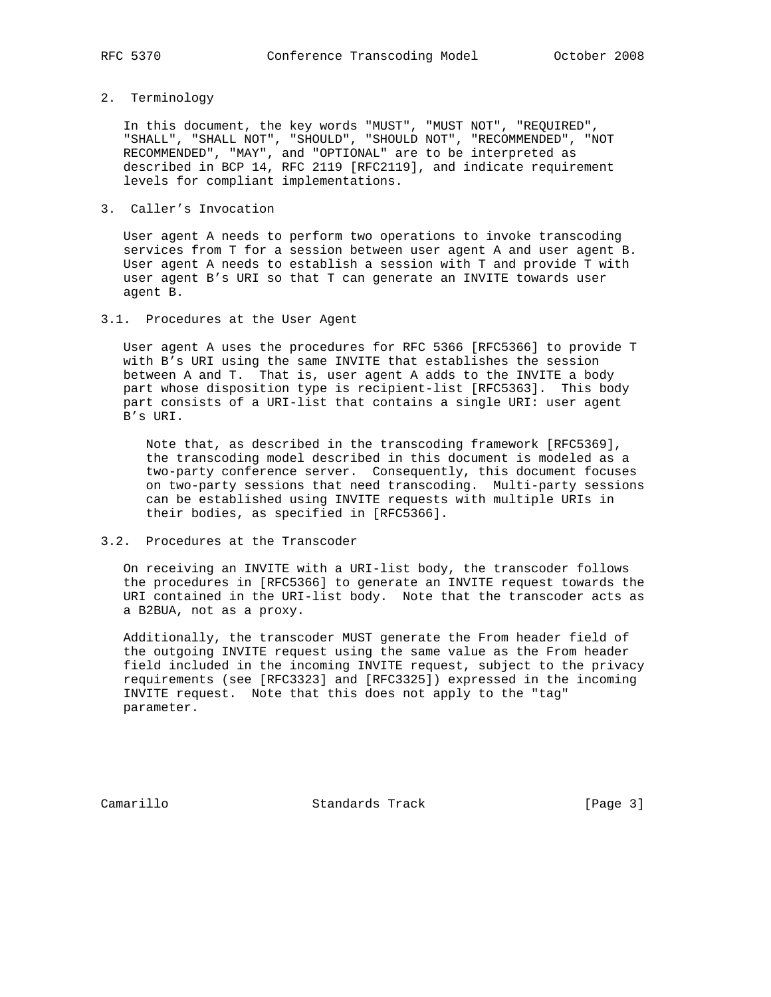2. Terminology

 In this document, the key words "MUST", "MUST NOT", "REQUIRED", "SHALL", "SHALL NOT", "SHOULD", "SHOULD NOT", "RECOMMENDED", "NOT RECOMMENDED", "MAY", and "OPTIONAL" are to be interpreted as described in BCP 14, RFC 2119 [RFC2119], and indicate requirement levels for compliant implementations.

3. Caller's Invocation

 User agent A needs to perform two operations to invoke transcoding services from T for a session between user agent A and user agent B. User agent A needs to establish a session with T and provide T with user agent B's URI so that T can generate an INVITE towards user agent B.

3.1. Procedures at the User Agent

 User agent A uses the procedures for RFC 5366 [RFC5366] to provide T with B's URI using the same INVITE that establishes the session between A and T. That is, user agent A adds to the INVITE a body part whose disposition type is recipient-list [RFC5363]. This body part consists of a URI-list that contains a single URI: user agent B's URI.

 Note that, as described in the transcoding framework [RFC5369], the transcoding model described in this document is modeled as a two-party conference server. Consequently, this document focuses on two-party sessions that need transcoding. Multi-party sessions can be established using INVITE requests with multiple URIs in their bodies, as specified in [RFC5366].

## 3.2. Procedures at the Transcoder

 On receiving an INVITE with a URI-list body, the transcoder follows the procedures in [RFC5366] to generate an INVITE request towards the URI contained in the URI-list body. Note that the transcoder acts as a B2BUA, not as a proxy.

 Additionally, the transcoder MUST generate the From header field of the outgoing INVITE request using the same value as the From header field included in the incoming INVITE request, subject to the privacy requirements (see [RFC3323] and [RFC3325]) expressed in the incoming INVITE request. Note that this does not apply to the "tag" parameter.

Camarillo Standards Track [Page 3]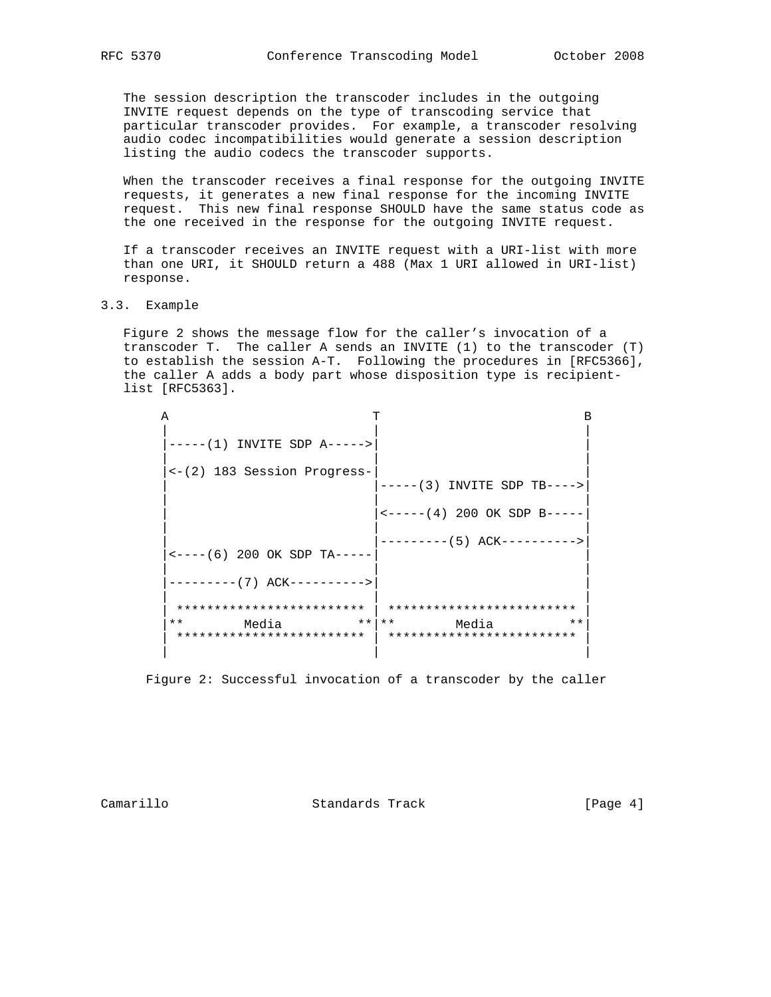The session description the transcoder includes in the outgoing INVITE request depends on the type of transcoding service that particular transcoder provides. For example, a transcoder resolving audio codec incompatibilities would generate a session description listing the audio codecs the transcoder supports.

 When the transcoder receives a final response for the outgoing INVITE requests, it generates a new final response for the incoming INVITE request. This new final response SHOULD have the same status code as the one received in the response for the outgoing INVITE request.

 If a transcoder receives an INVITE request with a URI-list with more than one URI, it SHOULD return a 488 (Max 1 URI allowed in URI-list) response.

3.3. Example

 Figure 2 shows the message flow for the caller's invocation of a transcoder T. The caller A sends an INVITE (1) to the transcoder (T) to establish the session A-T. Following the procedures in [RFC5366], the caller A adds a body part whose disposition type is recipient list [RFC5363].

| Α                                           |                                                          | в |
|---------------------------------------------|----------------------------------------------------------|---|
| $---(1)$ INVITE SDP A $---$                 |                                                          |   |
| <-(2) 183 Session Progress-                 | $---(3)$ INVITE SDP TB---->                              |   |
|                                             | $\leftarrow$ -----(4) 200 OK SDP B-----                  |   |
| $\leftarrow$ ----(6) 200 OK SDP TA-----     | --------- (5) ACK---------->                             |   |
| -------- (7) ACK---------->                 |                                                          |   |
| *************************                   | *************************                                |   |
| $***$<br>Media<br>************************* | $***$   **<br>$**$<br>Media<br>************************* |   |
|                                             |                                                          |   |

Figure 2: Successful invocation of a transcoder by the caller

Camarillo Standards Track [Page 4]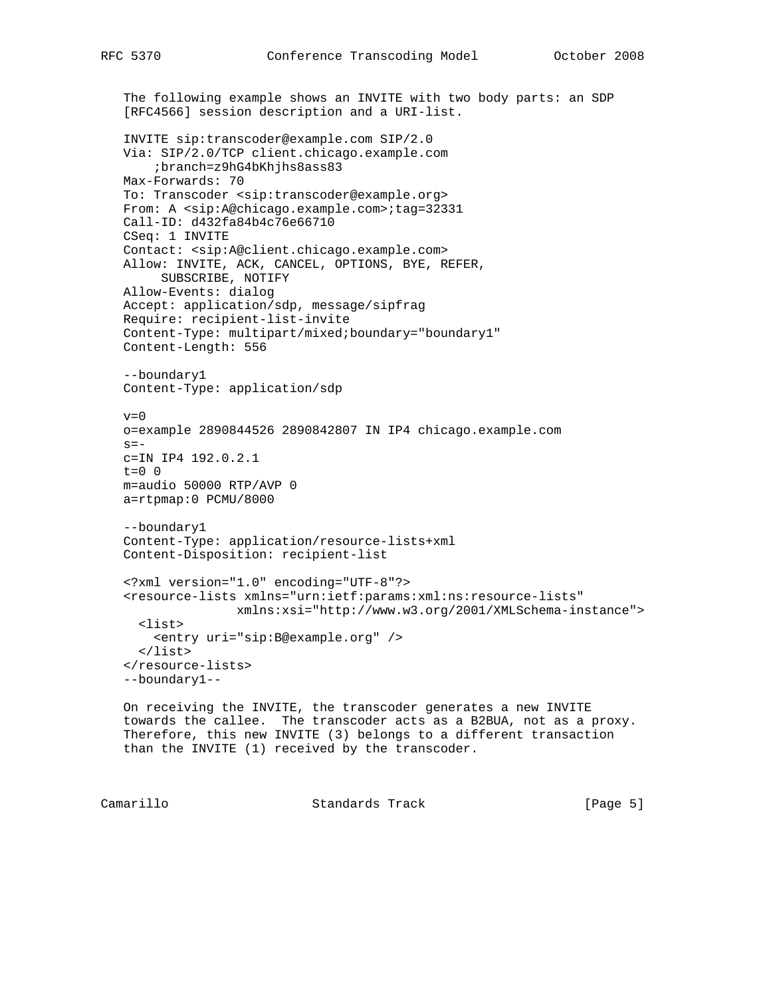```
 The following example shows an INVITE with two body parts: an SDP
 [RFC4566] session description and a URI-list.
 INVITE sip:transcoder@example.com SIP/2.0
 Via: SIP/2.0/TCP client.chicago.example.com
     ;branch=z9hG4bKhjhs8ass83
 Max-Forwards: 70
 To: Transcoder <sip:transcoder@example.org>
 From: A <sip:A@chicago.example.com>;tag=32331
 Call-ID: d432fa84b4c76e66710
 CSeq: 1 INVITE
 Contact: <sip:A@client.chicago.example.com>
 Allow: INVITE, ACK, CANCEL, OPTIONS, BYE, REFER,
      SUBSCRIBE, NOTIFY
 Allow-Events: dialog
 Accept: application/sdp, message/sipfrag
 Require: recipient-list-invite
 Content-Type: multipart/mixed;boundary="boundary1"
 Content-Length: 556
 --boundary1
 Content-Type: application/sdp
v=0 o=example 2890844526 2890842807 IN IP4 chicago.example.com
s = - c=IN IP4 192.0.2.1
t=0 0
 m=audio 50000 RTP/AVP 0
 a=rtpmap:0 PCMU/8000
 --boundary1
 Content-Type: application/resource-lists+xml
 Content-Disposition: recipient-list
 <?xml version="1.0" encoding="UTF-8"?>
 <resource-lists xmlns="urn:ietf:params:xml:ns:resource-lists"
                xmlns:xsi="http://www.w3.org/2001/XMLSchema-instance">
  <list>
    <entry uri="sip:B@example.org" />
  \langlelist>
 </resource-lists>
 --boundary1--
 On receiving the INVITE, the transcoder generates a new INVITE
 towards the callee. The transcoder acts as a B2BUA, not as a proxy.
 Therefore, this new INVITE (3) belongs to a different transaction
 than the INVITE (1) received by the transcoder.
```
Camarillo Standards Track [Page 5]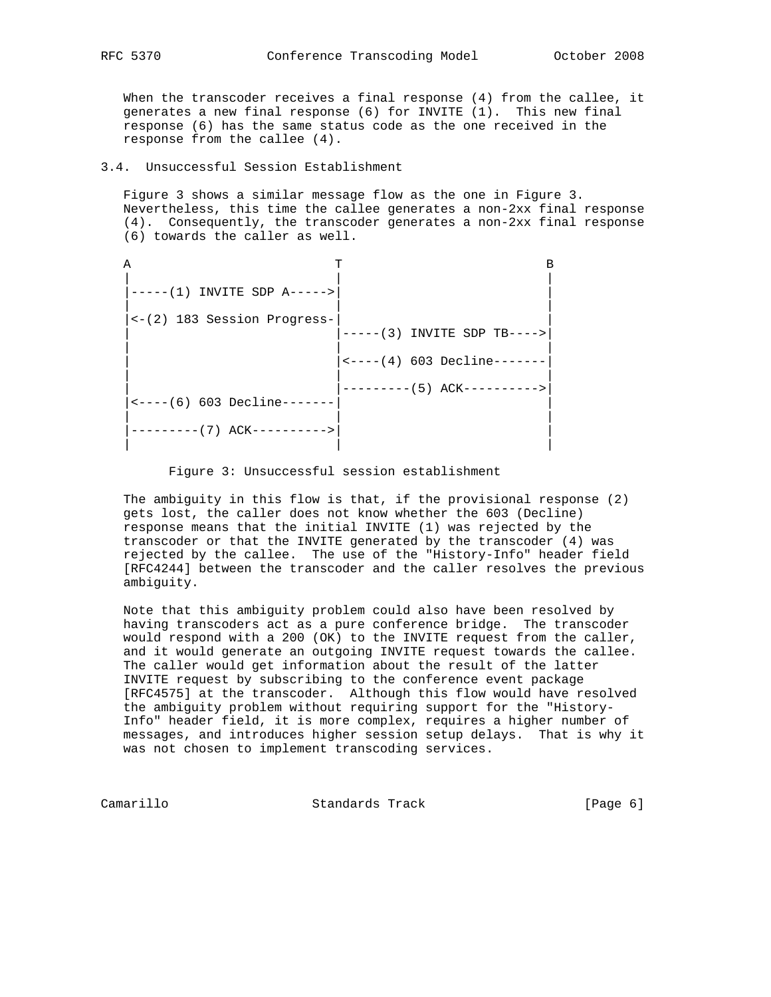When the transcoder receives a final response (4) from the callee, it generates a new final response (6) for INVITE (1). This new final response (6) has the same status code as the one received in the response from the callee (4).

3.4. Unsuccessful Session Establishment

 Figure 3 shows a similar message flow as the one in Figure 3. Nevertheless, this time the callee generates a non-2xx final response (4). Consequently, the transcoder generates a non-2xx final response (6) towards the caller as well.

| $---(1)$ INVITE SDP A----->            |                             |  |
|----------------------------------------|-----------------------------|--|
| $\leftarrow$ (2) 183 Session Progress- | $---(3)$ INVITE SDP TB----> |  |
|                                        |                             |  |
| $\leftarrow ---(6)$ 603 Decline-----   | ---------(5) ACK----------> |  |
|                                        |                             |  |
|                                        |                             |  |

### Figure 3: Unsuccessful session establishment

 The ambiguity in this flow is that, if the provisional response (2) gets lost, the caller does not know whether the 603 (Decline) response means that the initial INVITE (1) was rejected by the transcoder or that the INVITE generated by the transcoder (4) was rejected by the callee. The use of the "History-Info" header field [RFC4244] between the transcoder and the caller resolves the previous ambiguity.

 Note that this ambiguity problem could also have been resolved by having transcoders act as a pure conference bridge. The transcoder would respond with a 200 (OK) to the INVITE request from the caller, and it would generate an outgoing INVITE request towards the callee. The caller would get information about the result of the latter INVITE request by subscribing to the conference event package [RFC4575] at the transcoder. Although this flow would have resolved the ambiguity problem without requiring support for the "History- Info" header field, it is more complex, requires a higher number of messages, and introduces higher session setup delays. That is why it was not chosen to implement transcoding services.

Camarillo Standards Track [Page 6]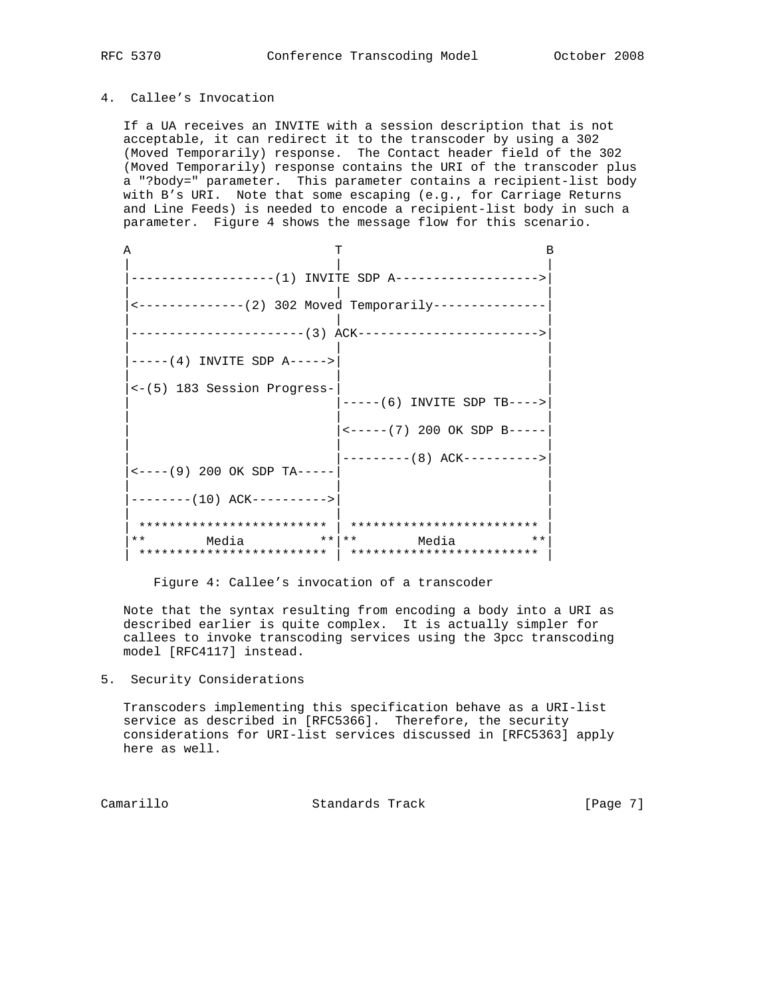# 4. Callee's Invocation

 If a UA receives an INVITE with a session description that is not acceptable, it can redirect it to the transcoder by using a 302 (Moved Temporarily) response. The Contact header field of the 302 (Moved Temporarily) response contains the URI of the transcoder plus a "?body=" parameter. This parameter contains a recipient-list body with B's URI. Note that some escaping (e.g., for Carriage Returns and Line Feeds) is needed to encode a recipient-list body in such a parameter. Figure 4 shows the message flow for this scenario.

| А |                                               |                                                 |  |
|---|-----------------------------------------------|-------------------------------------------------|--|
|   |                                               |                                                 |  |
|   |                                               |                                                 |  |
|   | <--------------(2) 302 Moved Temporarily----- |                                                 |  |
|   |                                               |                                                 |  |
|   | $---(4)$ INVITE SDP A $---$                   |                                                 |  |
|   | <-(5) 183 Session Progress-                   | $---(6)$ INVITE SDP TB---->                     |  |
|   |                                               | $\leftarrow$ -----(7) 200 OK SDP B-----         |  |
|   |                                               | ---------(8) ACK---------->                     |  |
|   | $\leftarrow$ ---- (9) 200 OK SDP TA-----      |                                                 |  |
|   | $------(10)$ ACK---------->                   |                                                 |  |
|   | *************************                     | *************************                       |  |
|   | ** Media                                      | $\star \star$   $\star \star$<br>Media<br>$***$ |  |
|   |                                               |                                                 |  |

Figure 4: Callee's invocation of a transcoder

 Note that the syntax resulting from encoding a body into a URI as described earlier is quite complex. It is actually simpler for callees to invoke transcoding services using the 3pcc transcoding model [RFC4117] instead.

## 5. Security Considerations

 Transcoders implementing this specification behave as a URI-list service as described in [RFC5366]. Therefore, the security considerations for URI-list services discussed in [RFC5363] apply here as well.

Camarillo Standards Track [Page 7]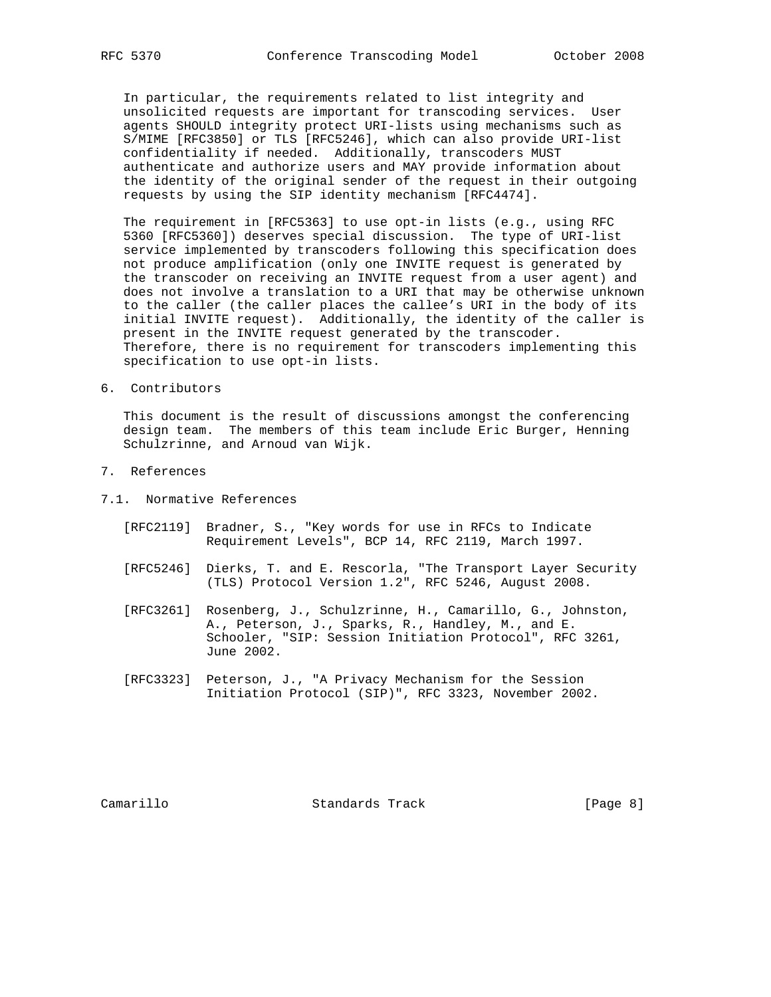In particular, the requirements related to list integrity and unsolicited requests are important for transcoding services. User agents SHOULD integrity protect URI-lists using mechanisms such as S/MIME [RFC3850] or TLS [RFC5246], which can also provide URI-list confidentiality if needed. Additionally, transcoders MUST authenticate and authorize users and MAY provide information about the identity of the original sender of the request in their outgoing requests by using the SIP identity mechanism [RFC4474].

 The requirement in [RFC5363] to use opt-in lists (e.g., using RFC 5360 [RFC5360]) deserves special discussion. The type of URI-list service implemented by transcoders following this specification does not produce amplification (only one INVITE request is generated by the transcoder on receiving an INVITE request from a user agent) and does not involve a translation to a URI that may be otherwise unknown to the caller (the caller places the callee's URI in the body of its initial INVITE request). Additionally, the identity of the caller is present in the INVITE request generated by the transcoder. Therefore, there is no requirement for transcoders implementing this specification to use opt-in lists.

6. Contributors

 This document is the result of discussions amongst the conferencing design team. The members of this team include Eric Burger, Henning Schulzrinne, and Arnoud van Wijk.

- 7. References
- 7.1. Normative References
	- [RFC2119] Bradner, S., "Key words for use in RFCs to Indicate Requirement Levels", BCP 14, RFC 2119, March 1997.
	- [RFC5246] Dierks, T. and E. Rescorla, "The Transport Layer Security (TLS) Protocol Version 1.2", RFC 5246, August 2008.
	- [RFC3261] Rosenberg, J., Schulzrinne, H., Camarillo, G., Johnston, A., Peterson, J., Sparks, R., Handley, M., and E. Schooler, "SIP: Session Initiation Protocol", RFC 3261, June 2002.
	- [RFC3323] Peterson, J., "A Privacy Mechanism for the Session Initiation Protocol (SIP)", RFC 3323, November 2002.

Camarillo Standards Track [Page 8]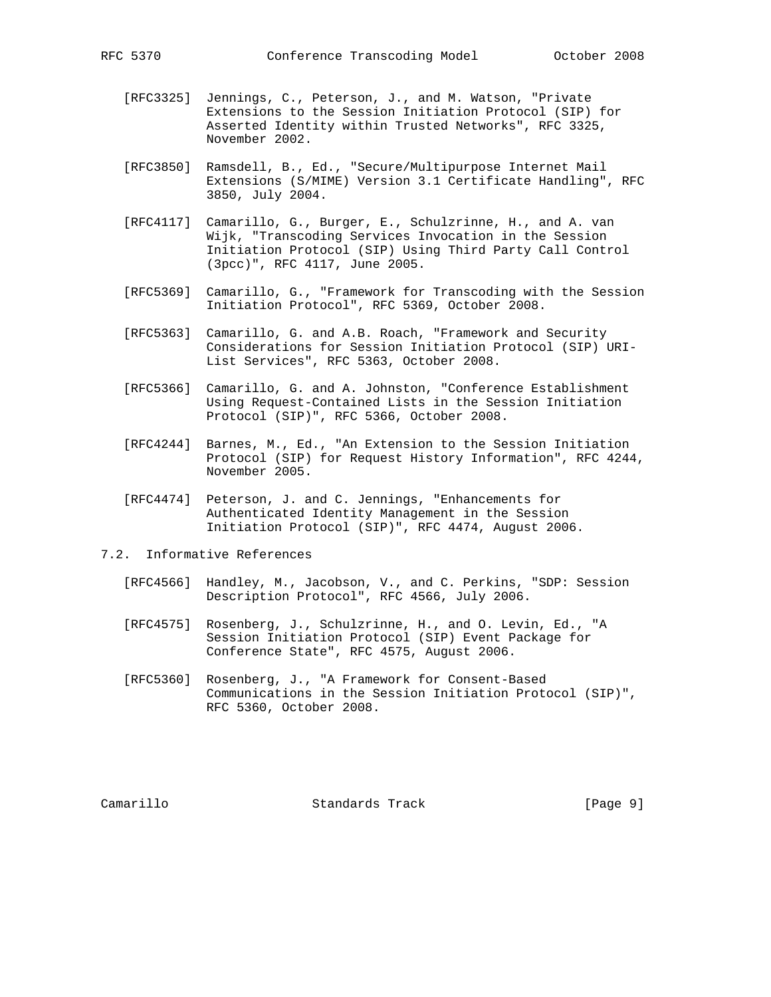- [RFC3325] Jennings, C., Peterson, J., and M. Watson, "Private Extensions to the Session Initiation Protocol (SIP) for Asserted Identity within Trusted Networks", RFC 3325, November 2002.
- [RFC3850] Ramsdell, B., Ed., "Secure/Multipurpose Internet Mail Extensions (S/MIME) Version 3.1 Certificate Handling", RFC 3850, July 2004.
- [RFC4117] Camarillo, G., Burger, E., Schulzrinne, H., and A. van Wijk, "Transcoding Services Invocation in the Session Initiation Protocol (SIP) Using Third Party Call Control (3pcc)", RFC 4117, June 2005.
- [RFC5369] Camarillo, G., "Framework for Transcoding with the Session Initiation Protocol", RFC 5369, October 2008.
- [RFC5363] Camarillo, G. and A.B. Roach, "Framework and Security Considerations for Session Initiation Protocol (SIP) URI- List Services", RFC 5363, October 2008.
- [RFC5366] Camarillo, G. and A. Johnston, "Conference Establishment Using Request-Contained Lists in the Session Initiation Protocol (SIP)", RFC 5366, October 2008.
- [RFC4244] Barnes, M., Ed., "An Extension to the Session Initiation Protocol (SIP) for Request History Information", RFC 4244, November 2005.
- [RFC4474] Peterson, J. and C. Jennings, "Enhancements for Authenticated Identity Management in the Session Initiation Protocol (SIP)", RFC 4474, August 2006.
- 7.2. Informative References
	- [RFC4566] Handley, M., Jacobson, V., and C. Perkins, "SDP: Session Description Protocol", RFC 4566, July 2006.
	- [RFC4575] Rosenberg, J., Schulzrinne, H., and O. Levin, Ed., "A Session Initiation Protocol (SIP) Event Package for Conference State", RFC 4575, August 2006.
	- [RFC5360] Rosenberg, J., "A Framework for Consent-Based Communications in the Session Initiation Protocol (SIP)", RFC 5360, October 2008.

Camarillo Standards Track [Page 9]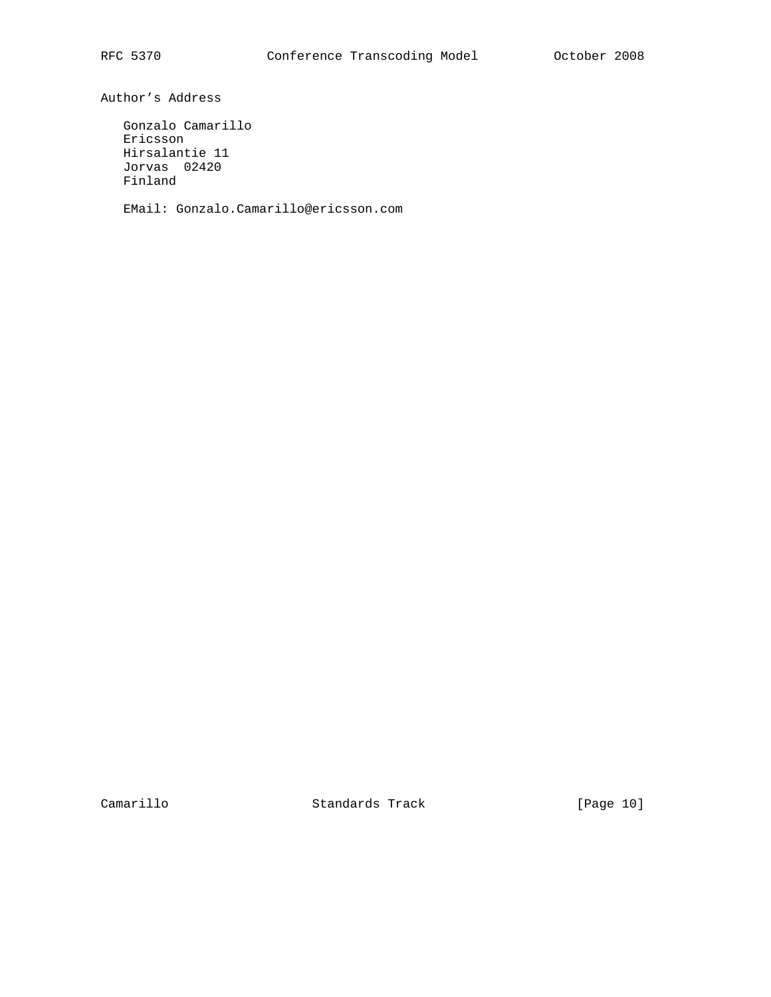Author's Address

 Gonzalo Camarillo Ericsson Hirsalantie 11 Jorvas 02420 Finland

EMail: Gonzalo.Camarillo@ericsson.com

Camarillo Standards Track [Page 10]